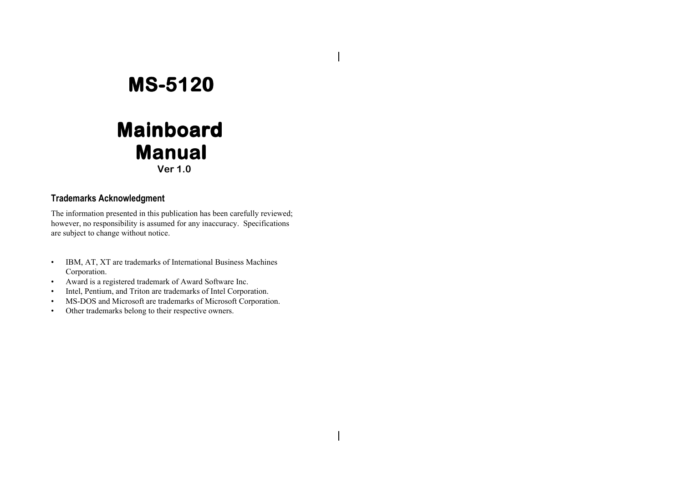**Ver 1.0**

#### **Trademarks Acknowledgment**

The information presented in this publication has been carefully reviewed; however, no responsibility is assumed for any inaccuracy. Specifications are subject to change without notice.

- • IBM, AT, XT are trademarks of International Business Machines Corporation.
- •Award is a registered trademark of Award Software Inc.
- •Intel, Pentium, and Triton are trademarks of Intel Corporation.
- •MS-DOS and Microsoft are trademarks of Microsoft Corporation.
- •Other trademarks belong to their respective owners.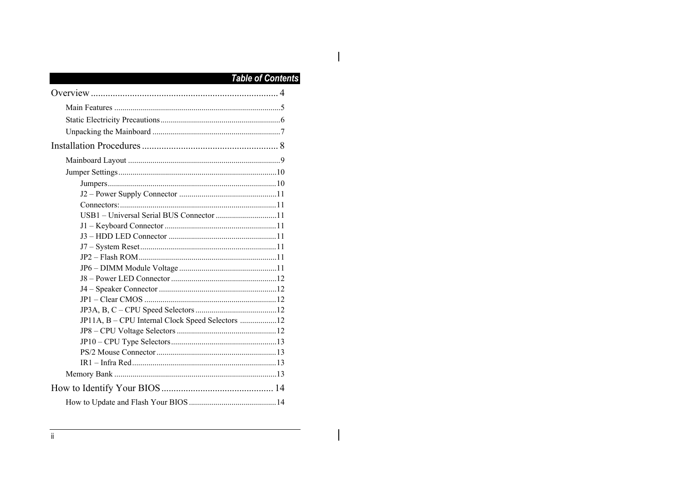## $\overline{\phantom{a}}$

 $\mathbf{I}$ 

## **Table of Contents**

| USB1 - Universal Serial BUS Connector 11         |  |
|--------------------------------------------------|--|
|                                                  |  |
|                                                  |  |
|                                                  |  |
|                                                  |  |
|                                                  |  |
|                                                  |  |
|                                                  |  |
|                                                  |  |
|                                                  |  |
| JP11A, B - CPU Internal Clock Speed Selectors 12 |  |
|                                                  |  |
|                                                  |  |
|                                                  |  |
|                                                  |  |
|                                                  |  |
|                                                  |  |
|                                                  |  |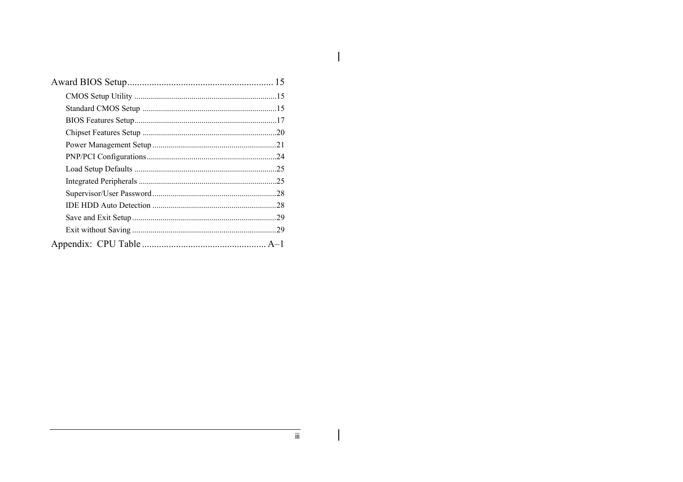$\mathbf{I}$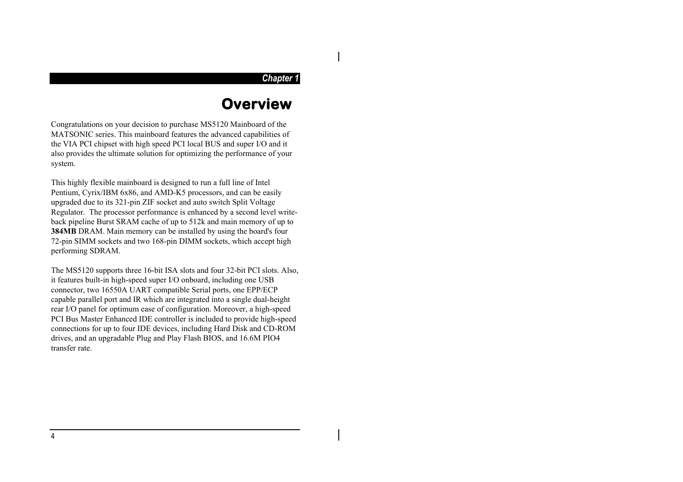#### *Chapter 1*

## **Overview**

Congratulations on your decision to purchase MS5120 Mainboard of the MATSONIC series. This mainboard features the advanced capabilities of the VIA PCI chipset with high speed PCI local BUS and super I/O and it also provides the ultimate solution for optimizing the performance of your system.

This highly flexible mainboard is designed to run a full line of Intel Pentium, Cyrix/IBM 6x86, and AMD-K5 processors, and can be easily upgraded due to its 321-pin ZIF socket and auto switch Split Voltage Regulator. The processor performance is enhanced by a second level writeback pipeline Burst SRAM cache of up to 512k and main memory of up to **384MB** DRAM. Main memory can be installed by using the board's four 72-pin SIMM sockets and two 168-pin DIMM sockets, which accept high performing SDRAM.

The MS5120 supports three 16-bit ISA slots and four 32-bit PCI slots. Also, it features built-in high-speed super I/O onboard, including one USB connector, two 16550A UART compatible Serial ports, one EPP/ECP capable parallel port and IR which are integrated into a single dual-height rear I/O panel for optimum ease of configuration. Moreover, a high-speed PCI Bus Master Enhanced IDE controller is included to provide high-speed connections for up to four IDE devices, including Hard Disk and CD-ROM drives, and an upgradable Plug and Play Flash BIOS, and 16.6M PIO4 transfer rate.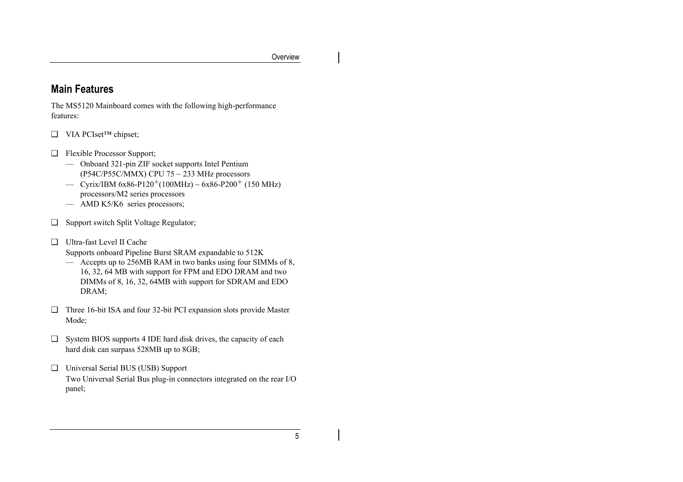## **Main Features**

The MS5120 Mainboard comes with the following high-performance features:

- ❑ VIA PCIset™ chipset;
- ❑ Flexible Processor Support;
	- Onboard 321-pin ZIF socket supports Intel Pentium (P54C/P55C/MMX) CPU 75  $\sim$  233 MHz processors
	- Cyrix/IBM 6x86-P120<sup>+</sup>(100MHz) ~ 6x86-P200<sup>+</sup> (150 MHz) processors/M2 series processors
	- AMD K5/K6 series processors;
- ❑ Support switch Split Voltage Regulator;
- ❑ Ultra-fast Level II Cache

Supports onboard Pipeline Burst SRAM expandable to 512K

- Accepts up to 256MB RAM in two banks using four SIMMs of 8, 16, 32, 64 MB with support for FPM and EDO DRAM and two DIMMs of 8, 16, 32, 64MB with support for SDRAM and EDO DRAM;
- ❑ Three 16-bit ISA and four 32-bit PCI expansion slots provide Master Mode;
- ❑ System BIOS supports 4 IDE hard disk drives, the capacity of each hard disk can surpass 528MB up to 8GB;
- ❑ Universal Serial BUS (USB) Support Two Universal Serial Bus plug-in connectors integrated on the rear I/O panel;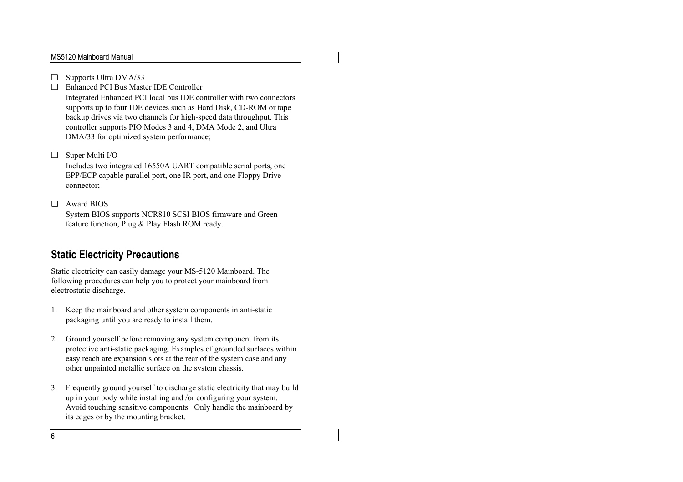- ❑ Supports Ultra DMA/33
- ❑ Enhanced PCI Bus Master IDE Controller

Integrated Enhanced PCI local bus IDE controller with two connectors supports up to four IDE devices such as Hard Disk, CD-ROM or tape backup drives via two channels for high-speed data throughput. This controller supports PIO Modes 3 and 4, DMA Mode 2, and Ultra DMA/33 for optimized system performance;

#### ❑ Super Multi I/O

Includes two integrated 16550A UART compatible serial ports, one EPP/ECP capable parallel port, one IR port, and one Floppy Drive connector;

#### ❑ Award BIOS

System BIOS supports NCR810 SCSI BIOS firmware and Green feature function, Plug & Play Flash ROM ready.

## **Static Electricity Precautions**

Static electricity can easily damage your MS-5120 Mainboard. The following procedures can help you to protect your mainboard from electrostatic discharge.

- 1. Keep the mainboard and other system components in anti-static packaging until you are ready to install them.
- 2. Ground yourself before removing any system component from its protective anti-static packaging. Examples of grounded surfaces within easy reach are expansion slots at the rear of the system case and any other unpainted metallic surface on the system chassis.
- 3. Frequently ground yourself to discharge static electricity that may build up in your body while installing and /or configuring your system. Avoid touching sensitive components. Only handle the mainboard by its edges or by the mounting bracket.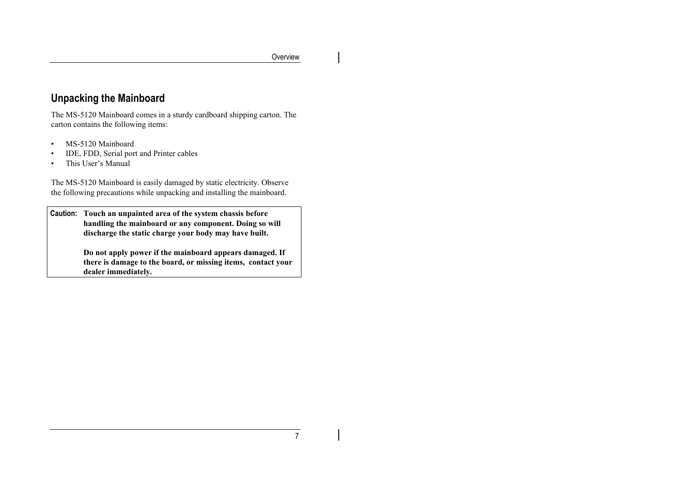## **Unpacking the Mainboard**

The MS-5120 Mainboard comes in a sturdy cardboard shipping carton. The carton contains the following items:

- •MS-5120 Mainboard
- •IDE, FDD, Serial port and Printer cables
- •This User's Manual

The MS-5120 Mainboard is easily damaged by static electricity. Observe the following precautions while unpacking and installing the mainboard.

**Caution: Touch an unpainted area of the system chassis before handling the mainboard or any component. Doing so will discharge the static charge your body may have built.**

> **Do not apply power if the mainboard appears damaged. If there is damage to the board, or missing items, contact your dealer immediately.**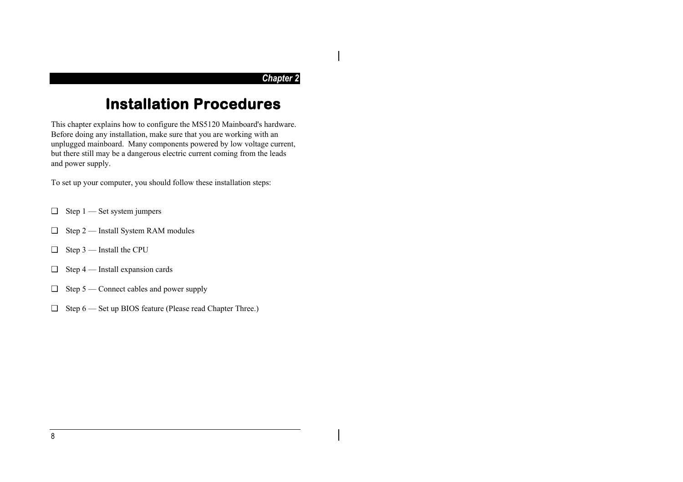#### *Chapter 2*

## **Installation Procedures**

This chapter explains how to configure the MS5120 Mainboard's hardware. Before doing any installation, make sure that you are working with an unplugged mainboard. Many components powered by low voltage current, but there still may be a dangerous electric current coming from the leads and power supply.

To set up your computer, you should follow these installation steps:

- $\Box$  Step 1 Set system jumpers
- ❑ Step 2 Install System RAM modules
- ❑ Step 3 Install the CPU
- $\Box$  Step 4 Install expansion cards
- $\Box$  Step 5 Connect cables and power supply
- ❑ Step 6 Set up BIOS feature (Please read Chapter Three.)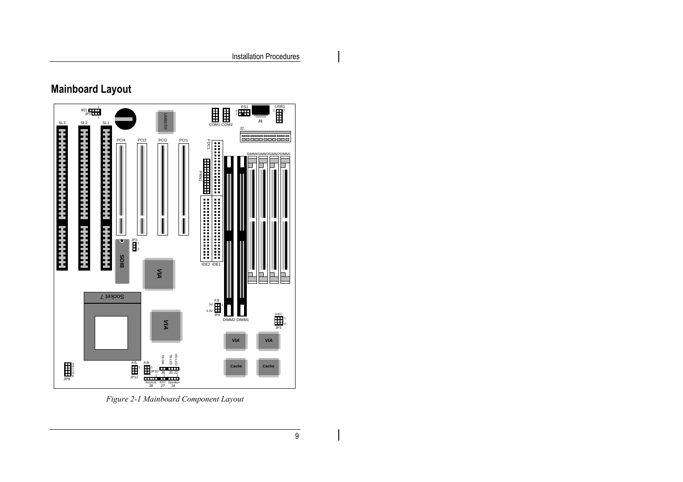## **Mainboard Layout**



*Figure 2-1 Mainboard Component Layout*

 $\mathbf I$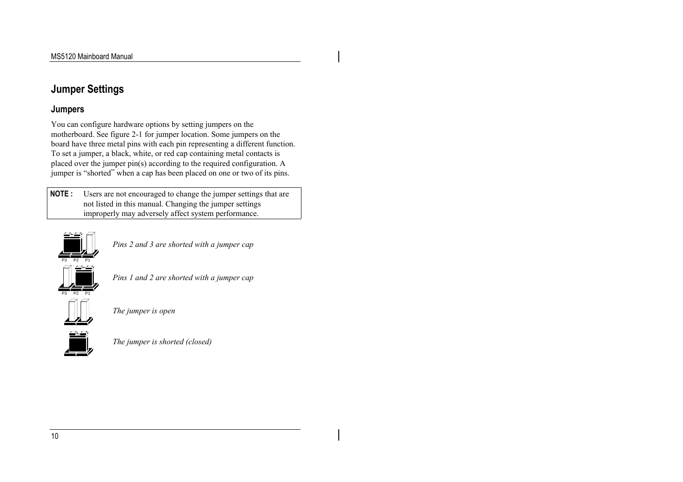## **Jumper Settings**

### **Jumpers**

You can configure hardware options by setting jumpers on the motherboard. See figure 2-1 for jumper location. Some jumpers on the board have three metal pins with each pin representing a different function. To set a jumper, a black, white, or red cap containing metal contacts is placed over the jumper pin(s) according to the required configuration. A jumper is "shorted" when a cap has been placed on one or two of its pins.

**NOTE :** Users are not encouraged to change the jumper settings that are not listed in this manual. Changing the jumper settings improperly may adversely affect system performance.



*Pins 2 and 3 are shorted with a jumper cap*



*Pins 1 and 2 are shorted with a jumper cap*



*The jumper is open*



*The jumper is shorted (closed)*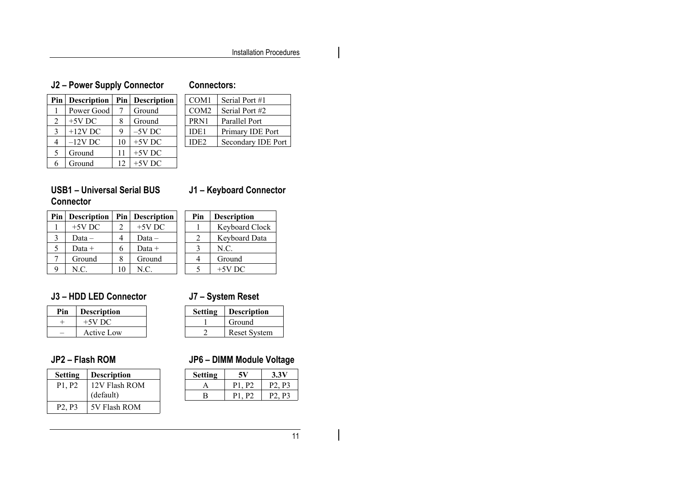## **J2 – Power Supply Connector**

#### **Connectors:**

| Pin            | <b>Description</b> | Pin         | <b>Description</b> |
|----------------|--------------------|-------------|--------------------|
| 1              | Power Good         |             | Ground             |
| $\mathfrak{D}$ | $+5V$ DC           | 8           | Ground             |
| $\mathbf{3}$   | $+12V$ DC          | $\mathbf Q$ | $-5V$ DC           |
| 4              | $-12V$ DC          | 10          | $+5V$ DC           |
| 5              | Ground             | 11          | $+5V$ DC           |
| 6              | Ground             | 12          | $+5V$ DC           |

| COM <sub>1</sub> | Serial Port #1     |
|------------------|--------------------|
| COM <sub>2</sub> | Serial Port #2     |
| PRN1             | Parallel Port      |
| IDE1             | Primary IDE Port   |
| IDE2             | Secondary IDE Port |

### **USB1 – Universal Serial BUS Connector**

## **J1 – Keyboard Connector**

| Pin | <b>Description</b> |    | Pin   Description | Pin | <b>Description</b> |
|-----|--------------------|----|-------------------|-----|--------------------|
|     | $+5V$ DC           |    | $+5V$ DC          |     | Keyboard Clock     |
|     | $Data -$           | 4  | Data –            |     | Keyboard Data      |
|     | Data $+$           | 6  | Data +            |     | N.C.               |
|     | Ground             | 8  | Ground            | 4   | Ground             |
|     | N.C.               | 10 | N.C.              |     | $+5V$ DC           |

### **J3 – HDD LED Connector**

### **J7 – System Reset**

**Setting Description** 1 Ground 2 Reset System

| Pin | <b>Description</b> |
|-----|--------------------|
|     | $+5V$ DC           |
|     | <b>Active Low</b>  |

## **JP2 – Flash ROM**

| <b>Setting</b>                  | <b>Description</b> |
|---------------------------------|--------------------|
| P <sub>1</sub> . P <sub>2</sub> | 12V Flash ROM      |
|                                 | (default)          |
| P <sub>2</sub> P <sub>3</sub>   | 5V Flash ROM       |

## **JP6 – DIMM Module Voltage**

| <b>Setting</b> | 5V                   | 3.3V                          |  |
|----------------|----------------------|-------------------------------|--|
|                | P <sub>2</sub><br>ΡL | P <sub>2</sub> P <sub>3</sub> |  |
| R              | נ״ט                  | P٦<br>P2                      |  |
|                |                      |                               |  |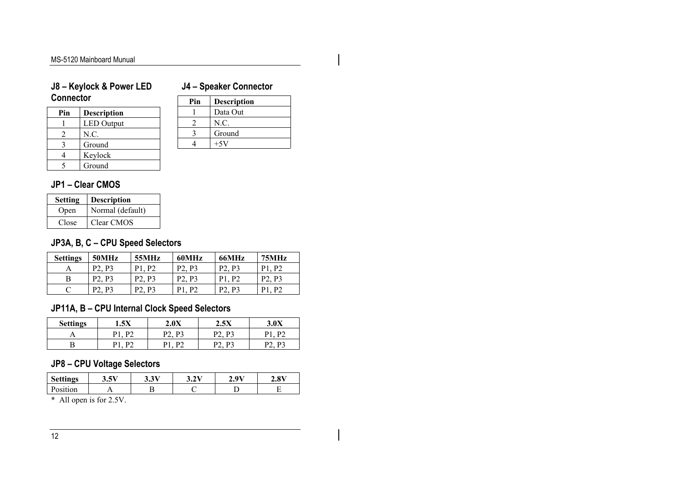## **J4 – Speaker Connector**

| <b>Connector</b> |                    |  |  |
|------------------|--------------------|--|--|
| Pin              | <b>Description</b> |  |  |
|                  | <b>LED</b> Output  |  |  |
| 2                | N.C.               |  |  |
| 3                | Ground             |  |  |
|                  | Keylock            |  |  |
|                  | Ground             |  |  |

**J8 – Keylock & Power LED**

| Pin | <b>Description</b> |
|-----|--------------------|
|     | Data Out           |
| 2   | N.C.               |
|     | Ground             |
|     |                    |

## **JP1 – Clear CMOS**

| <b>Setting</b> | <b>Description</b> |
|----------------|--------------------|
| Open           | Normal (default)   |
| Close          | Clear CMOS         |

## **JP3A, B, C – CPU Speed Selectors**

| <b>Settings</b> | 50MHz    | 55MHz   | 60MHz | 66MHz    | 75MHz    |
|-----------------|----------|---------|-------|----------|----------|
|                 | D٦<br>p٦ | D<br>D٦ | D٦    | P3<br>D٦ | D٦<br>D  |
| В               | D٦<br>D٦ | D2      | D2    | p٦       | D٦<br>Dʻ |
|                 | D2<br>D٦ | D2      | D٦    | D٦<br>רם | D٦<br>D  |

## **JP11A, B – CPU Internal Clock Speed Selectors**

| <b>Settings</b> | 1.5X      | 2.0X     | 2.5X     | 2 AV |
|-----------------|-----------|----------|----------|------|
|                 | D٦<br>D 1 | D2<br>n^ | DJ<br>רמ | רם   |
|                 | D٦<br>D 1 | D٦       | DJ<br>רמ | D2   |

## **JP8 – CPU Voltage Selectors**

| <b>Settings</b> | .5V<br>J.J 1               | 2.217<br>ິ. | 2V<br>J.∠ \ | 20V<br><u>'</u> | 2.8V |
|-----------------|----------------------------|-------------|-------------|-----------------|------|
| Position        |                            |             |             |                 |      |
| .               | $\sim$<br>- ---<br>$\cdot$ |             |             |                 |      |

\* All open is for 2.5V.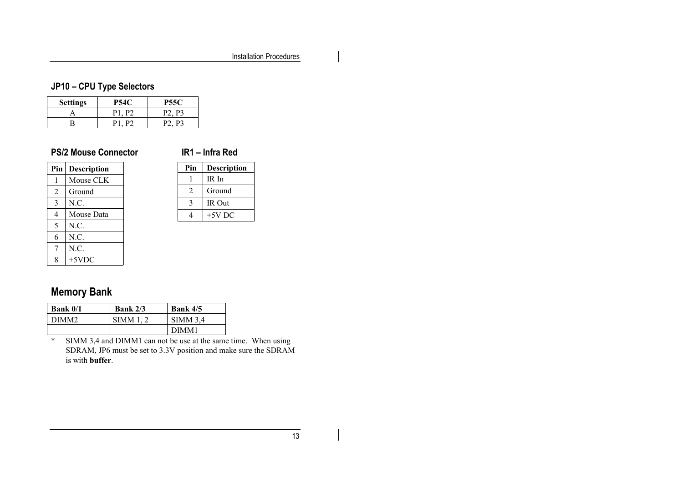## **JP10 – CPU Type Selectors**

| <b>Settings</b> | P54C  | <b>P55C</b>                   |
|-----------------|-------|-------------------------------|
|                 | P1 P2 | P <sub>2</sub> P <sub>3</sub> |
|                 |       | P <sub>2</sub> P <sub>3</sub> |

## **PS/2 Mouse Connector**

#### **IR1 – Infra Red**

| Pin | Description |
|-----|-------------|
| 1   | Mouse CLK   |
| 2   | Ground      |
| 3   | N.C.        |
| 4   | Mouse Data  |
| 5   | N.C.        |
| 6   | N.C.        |
| 7   | N.C.        |
| 8   | $+5$ VDC    |

| Pin | <b>Description</b> |
|-----|--------------------|
|     | IR In              |
| 2   | Ground             |
|     | IR Out             |
|     | $+5V$ DC           |

## **Memory Bank**

| <b>Bank 0/1</b> | Bank $2/3$ | <b>Bank 4/5</b> |
|-----------------|------------|-----------------|
| DIMM2           | SIMM 1.    | <b>SIMM 3.4</b> |
|                 |            | DIMM1           |

\* SIMM 3,4 and DIMM1 can not be use at the same time. When using SDRAM, JP6 must be set to 3.3V position and make sure the SDRAM is with **buffer**.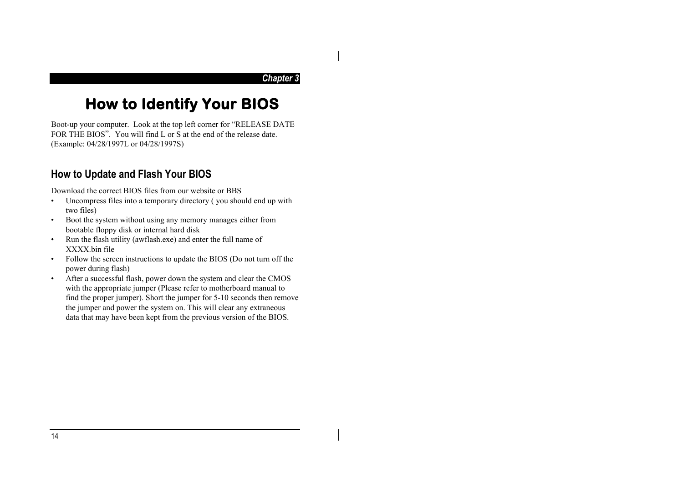#### *Chapter 3*

## **How to Identify Your BIOS**

Boot-up your computer. Look at the top left corner for "RELEASE DATE FOR THE BIOS". You will find L or S at the end of the release date. (Example: 04/28/1997L or 04/28/1997S)

## **How to Update and Flash Your BIOS**

Download the correct BIOS files from our website or BBS

- • Uncompress files into a temporary directory ( you should end up with two files)
- • Boot the system without using any memory manages either from bootable floppy disk or internal hard disk
- • Run the flash utility (awflash.exe) and enter the full name of XXXX.bin file
- • Follow the screen instructions to update the BIOS (Do not turn off the power during flash)
- After a successful flash, power down the system and clear the CMOS with the appropriate jumper (Please refer to motherboard manual to find the proper jumper). Short the jumper for 5-10 seconds then remove the jumper and power the system on. This will clear any extraneous data that may have been kept from the previous version of the BIOS.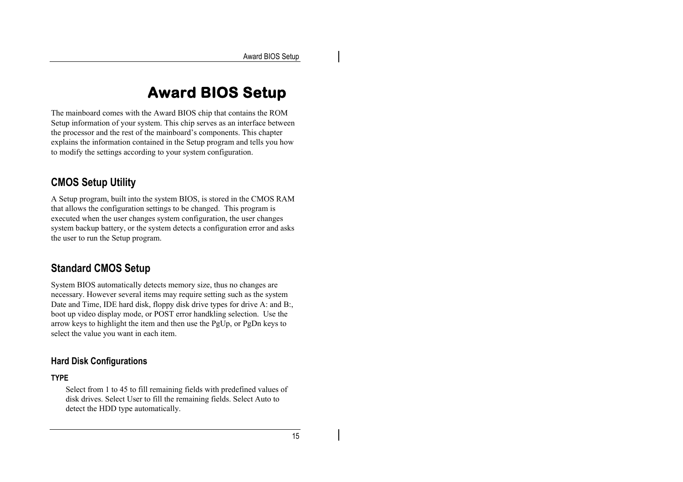## **Award BIOS Setup**

The mainboard comes with the Award BIOS chip that contains the ROM Setup information of your system. This chip serves as an interface between the processor and the rest of the mainboard's components. This chapter explains the information contained in the Setup program and tells you how to modify the settings according to your system configuration.

## **CMOS Setup Utility**

A Setup program, built into the system BIOS, is stored in the CMOS RAM that allows the configuration settings to be changed. This program is executed when the user changes system configuration, the user changes system backup battery, or the system detects a configuration error and asks the user to run the Setup program.

## **Standard CMOS Setup**

System BIOS automatically detects memory size, thus no changes are necessary. However several items may require setting such as the system Date and Time, IDE hard disk, floppy disk drive types for drive A: and B:, boot up video display mode, or POST error handkling selection. Use the arrow keys to highlight the item and then use the PgUp, or PgDn keys to select the value you want in each item.

## **Hard Disk Configurations**

#### **TYPE**

Select from 1 to 45 to fill remaining fields with predefined values of disk drives. Select User to fill the remaining fields. Select Auto to detect the HDD type automatically.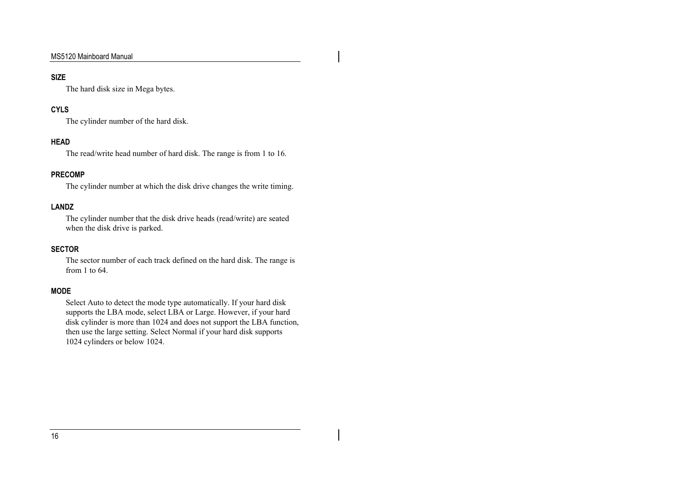#### **SIZE**

The hard disk size in Mega bytes.

#### **CYLS**

The cylinder number of the hard disk.

#### **HEAD**

The read/write head number of hard disk. The range is from 1 to 16.

#### **PRECOMP**

The cylinder number at which the disk drive changes the write timing.

#### **LANDZ**

The cylinder number that the disk drive heads (read/write) are seated when the disk drive is parked.

#### **SECTOR**

The sector number of each track defined on the hard disk. The range is from 1 to 64.

#### **MODE**

Select Auto to detect the mode type automatically. If your hard disk supports the LBA mode, select LBA or Large. However, if your hard disk cylinder is more than 1024 and does not support the LBA function, then use the large setting. Select Normal if your hard disk supports 1024 cylinders or below 1024.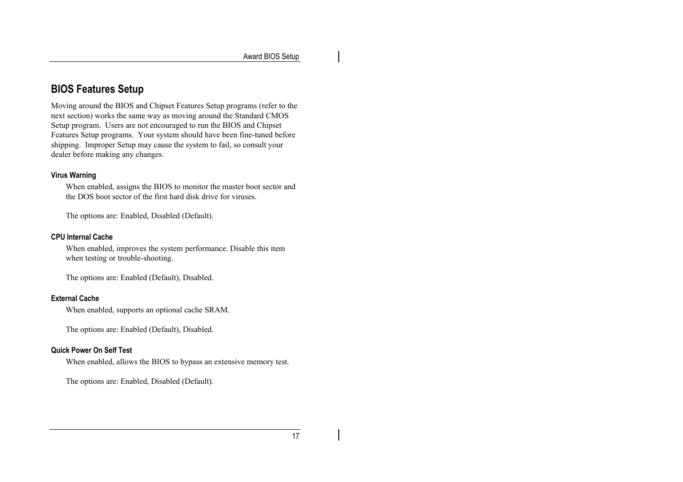## **BIOS Features Setup**

Moving around the BIOS and Chipset Features Setup programs (refer to the next section) works the same way as moving around the Standard CMOS Setup program. Users are not encouraged to run the BIOS and Chipset Features Setup programs. Your system should have been fine-tuned before shipping. Improper Setup may cause the system to fail, so consult your dealer before making any changes.

#### **Virus Warning**

When enabled, assigns the BIOS to monitor the master boot sector and the DOS boot sector of the first hard disk drive for viruses.

The options are: Enabled, Disabled (Default).

#### **CPU Internal Cache**

When enabled, improves the system performance. Disable this item when testing or trouble-shooting.

The options are: Enabled (Default), Disabled.

#### **External Cache**

When enabled, supports an optional cache SRAM.

The options are: Enabled (Default), Disabled.

#### **Quick Power On Self Test**

When enabled, allows the BIOS to bypass an extensive memory test.

The options are: Enabled, Disabled (Default).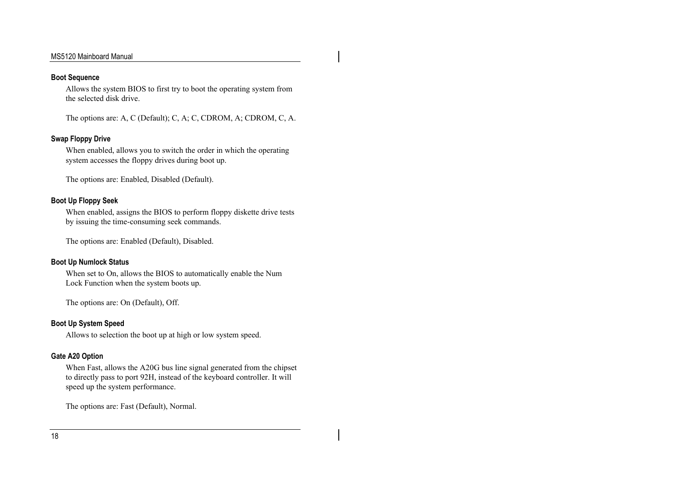#### **Boot Sequence**

Allows the system BIOS to first try to boot the operating system from the selected disk drive.

The options are: A, C (Default); C, A; C, CDROM, A; CDROM, C, A.

#### **Swap Floppy Drive**

When enabled, allows you to switch the order in which the operating system accesses the floppy drives during boot up.

The options are: Enabled, Disabled (Default).

#### **Boot Up Floppy Seek**

When enabled, assigns the BIOS to perform floppy diskette drive tests by issuing the time-consuming seek commands.

The options are: Enabled (Default), Disabled.

#### **Boot Up Numlock Status**

When set to On, allows the BIOS to automatically enable the Num Lock Function when the system boots up.

The options are: On (Default), Off.

#### **Boot Up System Speed**

Allows to selection the boot up at high or low system speed.

#### **Gate A20 Option**

When Fast, allows the A20G bus line signal generated from the chipset to directly pass to port 92H, instead of the keyboard controller. It will speed up the system performance.

The options are: Fast (Default), Normal.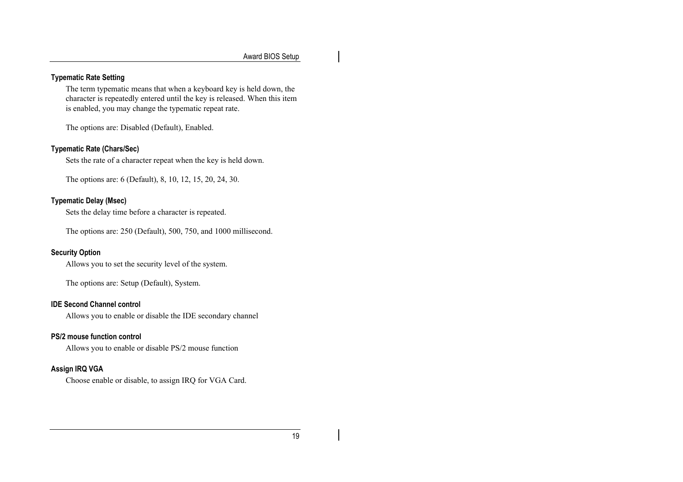#### **Typematic Rate Setting**

The term typematic means that when a keyboard key is held down, the character is repeatedly entered until the key is released. When this item is enabled, you may change the typematic repeat rate.

The options are: Disabled (Default), Enabled.

#### **Typematic Rate (Chars/Sec)**

Sets the rate of a character repeat when the key is held down.

The options are: 6 (Default), 8, 10, 12, 15, 20, 24, 30.

#### **Typematic Delay (Msec)**

Sets the delay time before a character is repeated.

The options are: 250 (Default), 500, 750, and 1000 millisecond.

#### **Security Option**

Allows you to set the security level of the system.

The options are: Setup (Default), System.

#### **IDE Second Channel control**

Allows you to enable or disable the IDE secondary channel

#### **PS/2 mouse function control**

Allows you to enable or disable PS/2 mouse function

#### **Assign IRQ VGA**

Choose enable or disable, to assign IRQ for VGA Card.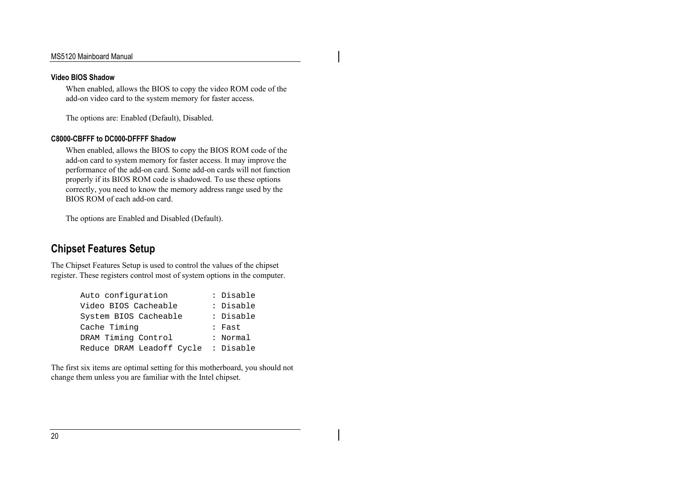#### **Video BIOS Shadow**

When enabled, allows the BIOS to copy the video ROM code of the add-on video card to the system memory for faster access.

The options are: Enabled (Default), Disabled.

#### **C8000-CBFFF to DC000-DFFFF Shadow**

When enabled, allows the BIOS to copy the BIOS ROM code of the add-on card to system memory for faster access. It may improve the performance of the add-on card. Some add-on cards will not function properly if its BIOS ROM code is shadowed. To use these options correctly, you need to know the memory address range used by the BIOS ROM of each add-on card.

The options are Enabled and Disabled (Default).

## **Chipset Features Setup**

The Chipset Features Setup is used to control the values of the chipset register. These registers control most of system options in the computer.

| Auto configuration        | : Disable |
|---------------------------|-----------|
| Video BIOS Cacheable      | : Disable |
| System BIOS Cacheable     | : Disable |
| Cache Timing              | : Fast    |
| DRAM Timing Control       | : Normal  |
| Reduce DRAM Leadoff Cycle | : Disable |

The first six items are optimal setting for this motherboard, you should not change them unless you are familiar with the Intel chipset.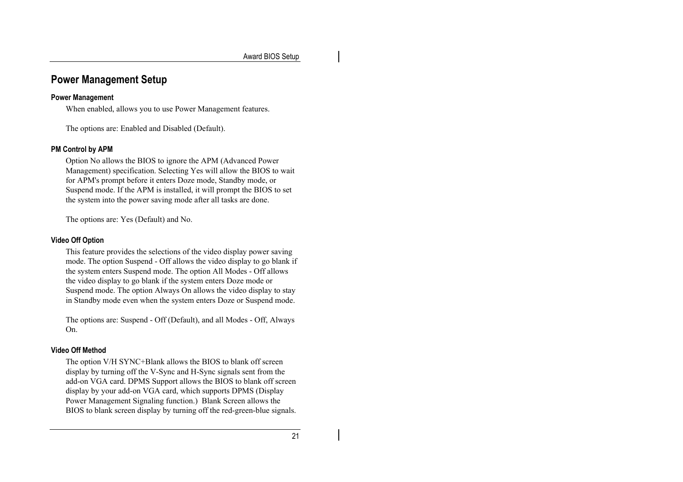## **Power Management Setup**

#### **Power Management**

When enabled, allows you to use Power Management features.

The options are: Enabled and Disabled (Default).

#### **PM Control by APM**

Option No allows the BIOS to ignore the APM (Advanced Power Management) specification. Selecting Yes will allow the BIOS to wait for APM's prompt before it enters Doze mode, Standby mode, or Suspend mode. If the APM is installed, it will prompt the BIOS to set the system into the power saving mode after all tasks are done.

The options are: Yes (Default) and No.

#### **Video Off Option**

This feature provides the selections of the video display power saving mode. The option Suspend - Off allows the video display to go blank if the system enters Suspend mode. The option All Modes - Off allows the video display to go blank if the system enters Doze mode or Suspend mode. The option Always On allows the video display to stay in Standby mode even when the system enters Doze or Suspend mode.

The options are: Suspend - Off (Default), and all Modes - Off, Always On.

#### **Video Off Method**

The option V/H SYNC+Blank allows the BIOS to blank off screen display by turning off the V-Sync and H-Sync signals sent from the add-on VGA card. DPMS Support allows the BIOS to blank off screen display by your add-on VGA card, which supports DPMS (Display Power Management Signaling function.) Blank Screen allows the BIOS to blank screen display by turning off the red-green-blue signals.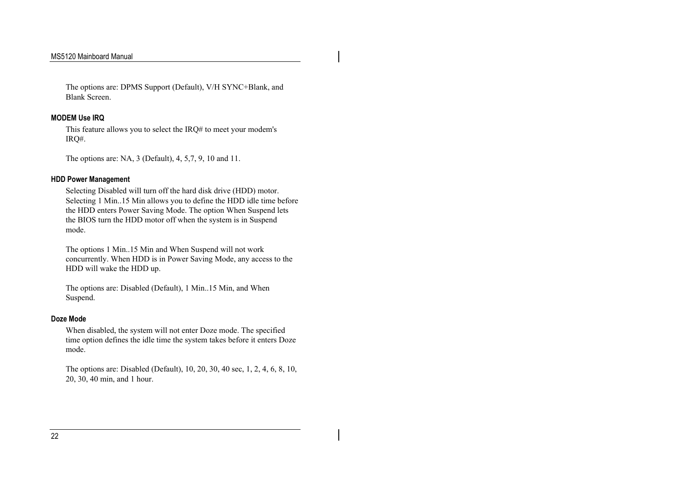The options are: DPMS Support (Default), V/H SYNC+Blank, and Blank Screen.

#### **MODEM Use IRQ**

This feature allows you to select the IRQ# to meet your modem's IRQ#.

The options are: NA, 3 (Default), 4, 5,7, 9, 10 and 11.

#### **HDD Power Management**

Selecting Disabled will turn off the hard disk drive (HDD) motor. Selecting 1 Min..15 Min allows you to define the HDD idle time before the HDD enters Power Saving Mode. The option When Suspend lets the BIOS turn the HDD motor off when the system is in Suspend mode.

The options 1 Min..15 Min and When Suspend will not work concurrently. When HDD is in Power Saving Mode, any access to the HDD will wake the HDD up.

The options are: Disabled (Default), 1 Min..15 Min, and When Suspend.

#### **Doze Mode**

When disabled, the system will not enter Doze mode. The specified time option defines the idle time the system takes before it enters Doze mode.

The options are: Disabled (Default), 10, 20, 30, 40 sec, 1, 2, 4, 6, 8, 10, 20, 30, 40 min, and 1 hour.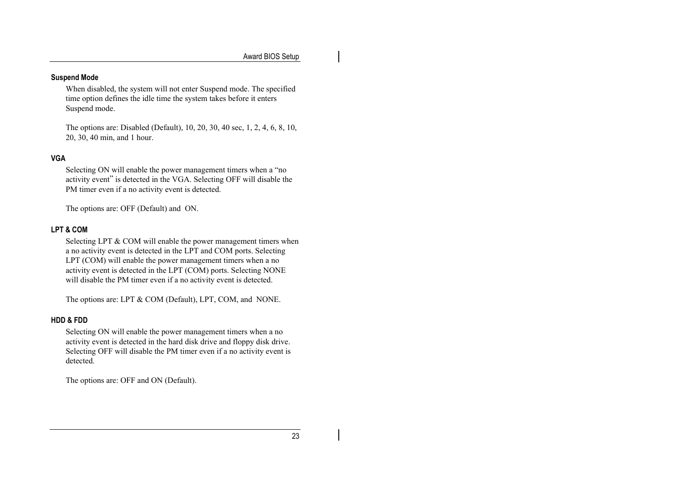#### **Suspend Mode**

When disabled, the system will not enter Suspend mode. The specified time option defines the idle time the system takes before it enters Suspend mode.

The options are: Disabled (Default), 10, 20, 30, 40 sec, 1, 2, 4, 6, 8, 10, 20, 30, 40 min, and 1 hour.

#### **VGA**

Selecting ON will enable the power management timers when a "no activity event" is detected in the VGA. Selecting OFF will disable the PM timer even if a no activity event is detected.

The options are: OFF (Default) and ON.

#### **LPT & COM**

Selecting LPT & COM will enable the power management timers when a no activity event is detected in the LPT and COM ports. Selecting LPT (COM) will enable the power management timers when a no activity event is detected in the LPT (COM) ports. Selecting NONE will disable the PM timer even if a no activity event is detected.

The options are: LPT & COM (Default), LPT, COM, and NONE.

#### **HDD & FDD**

Selecting ON will enable the power management timers when a no activity event is detected in the hard disk drive and floppy disk drive. Selecting OFF will disable the PM timer even if a no activity event is detected.

The options are: OFF and ON (Default).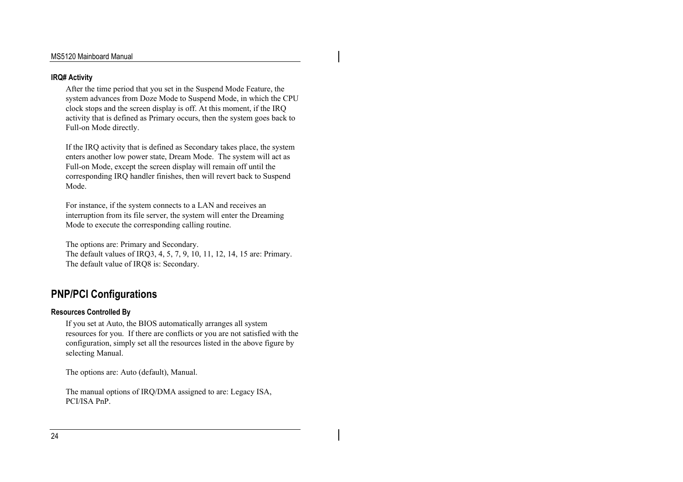#### **IRQ# Activity**

After the time period that you set in the Suspend Mode Feature, the system advances from Doze Mode to Suspend Mode, in which the CPU clock stops and the screen display is off. At this moment, if the IRQ activity that is defined as Primary occurs, then the system goes back to Full-on Mode directly.

If the IRQ activity that is defined as Secondary takes place, the system enters another low power state, Dream Mode. The system will act as Full-on Mode, except the screen display will remain off until the corresponding IRQ handler finishes, then will revert back to Suspend Mode.

For instance, if the system connects to a LAN and receives an interruption from its file server, the system will enter the Dreaming Mode to execute the corresponding calling routine.

The options are: Primary and Secondary. The default values of IRQ3, 4, 5, 7, 9, 10, 11, 12, 14, 15 are: Primary. The default value of IRQ8 is: Secondary.

## **PNP/PCI Configurations**

#### **Resources Controlled By**

If you set at Auto, the BIOS automatically arranges all system resources for you. If there are conflicts or you are not satisfied with the configuration, simply set all the resources listed in the above figure by selecting Manual.

The options are: Auto (default), Manual.

The manual options of IRQ/DMA assigned to are: Legacy ISA, PCI/ISA PnP.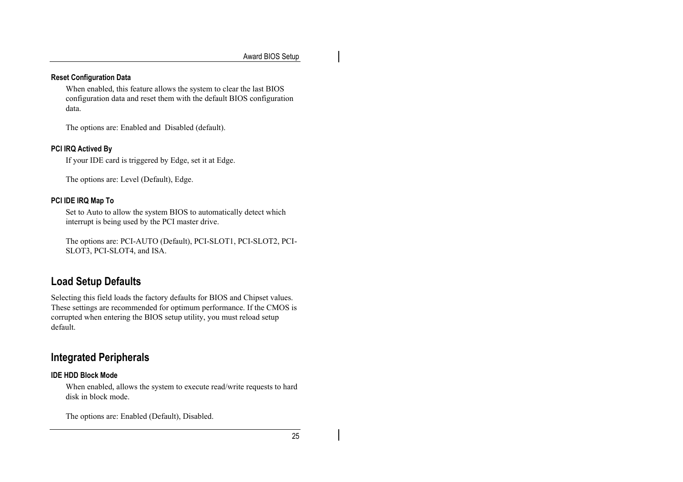#### **Reset Configuration Data**

When enabled, this feature allows the system to clear the last BIOS configuration data and reset them with the default BIOS configuration data.

The options are: Enabled and Disabled (default).

#### **PCI IRQ Actived By**

If your IDE card is triggered by Edge, set it at Edge.

The options are: Level (Default), Edge.

#### **PCI IDE IRQ Map To**

Set to Auto to allow the system BIOS to automatically detect which interrupt is being used by the PCI master drive.

The options are: PCI-AUTO (Default), PCI-SLOT1, PCI-SLOT2, PCI-SLOT3, PCI-SLOT4, and ISA.

## **Load Setup Defaults**

Selecting this field loads the factory defaults for BIOS and Chipset values. These settings are recommended for optimum performance. If the CMOS is corrupted when entering the BIOS setup utility, you must reload setup default.

## **Integrated Peripherals**

#### **IDE HDD Block Mode**

When enabled, allows the system to execute read/write requests to hard disk in block mode.

The options are: Enabled (Default), Disabled.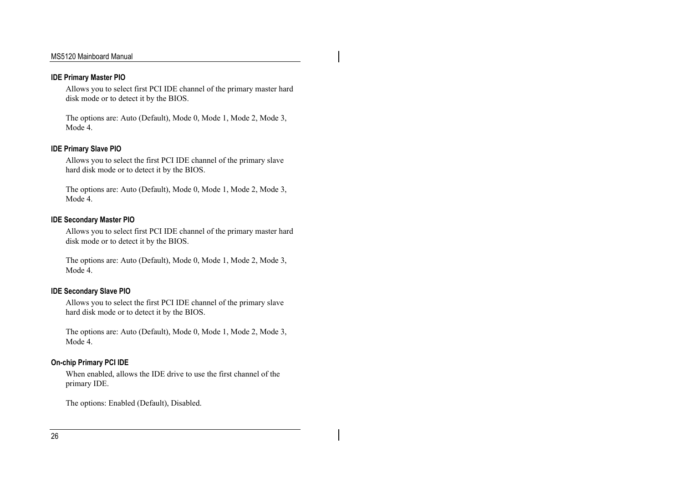#### **IDE Primary Master PIO**

Allows you to select first PCI IDE channel of the primary master hard disk mode or to detect it by the BIOS.

The options are: Auto (Default), Mode 0, Mode 1, Mode 2, Mode 3, Mode 4.

#### **IDE Primary Slave PIO**

Allows you to select the first PCI IDE channel of the primary slave hard disk mode or to detect it by the BIOS.

The options are: Auto (Default), Mode 0, Mode 1, Mode 2, Mode 3, Mode 4.

#### **IDE Secondary Master PIO**

Allows you to select first PCI IDE channel of the primary master hard disk mode or to detect it by the BIOS.

The options are: Auto (Default), Mode 0, Mode 1, Mode 2, Mode 3, Mode 4.

#### **IDE Secondary Slave PIO**

Allows you to select the first PCI IDE channel of the primary slave hard disk mode or to detect it by the BIOS.

The options are: Auto (Default), Mode 0, Mode 1, Mode 2, Mode 3, Mode 4.

#### **On-chip Primary PCI IDE**

When enabled, allows the IDE drive to use the first channel of the primary IDE.

The options: Enabled (Default), Disabled.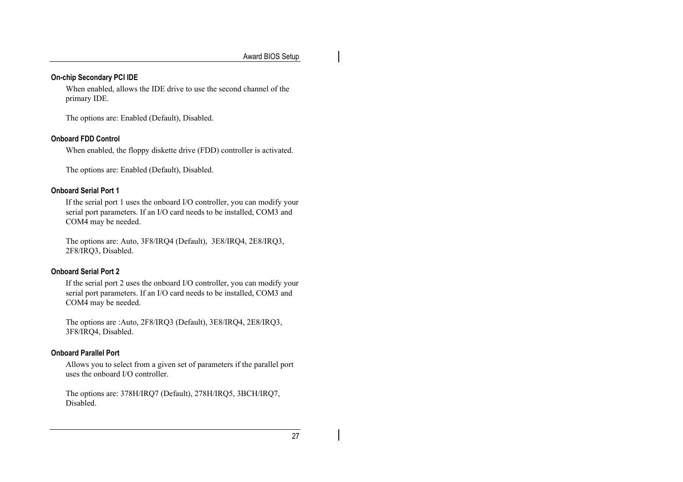#### **On-chip Secondary PCI IDE**

When enabled, allows the IDE drive to use the second channel of the primary IDE.

The options are: Enabled (Default), Disabled.

#### **Onboard FDD Control**

When enabled, the floppy diskette drive (FDD) controller is activated.

The options are: Enabled (Default), Disabled.

#### **Onboard Serial Port 1**

If the serial port 1 uses the onboard I/O controller, you can modify your serial port parameters. If an I/O card needs to be installed, COM3 and COM4 may be needed.

The options are: Auto, 3F8/IRQ4 (Default), 3E8/IRQ4, 2E8/IRQ3, 2F8/IRQ3, Disabled.

#### **Onboard Serial Port 2**

If the serial port 2 uses the onboard I/O controller, you can modify your serial port parameters. If an I/O card needs to be installed, COM3 and COM4 may be needed.

The options are :Auto, 2F8/IRQ3 (Default), 3E8/IRQ4, 2E8/IRQ3, 3F8/IRQ4, Disabled.

#### **Onboard Parallel Port**

Allows you to select from a given set of parameters if the parallel port uses the onboard I/O controller.

The options are: 378H/IRQ7 (Default), 278H/IRQ5, 3BCH/IRQ7, Disabled.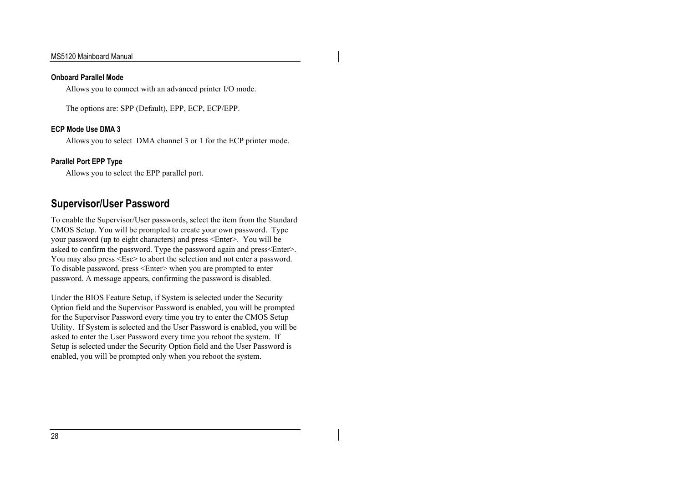#### **Onboard Parallel Mode**

Allows you to connect with an advanced printer I/O mode.

The options are: SPP (Default), EPP, ECP, ECP/EPP.

#### **ECP Mode Use DMA 3**

Allows you to select DMA channel 3 or 1 for the ECP printer mode.

#### **Parallel Port EPP Type**

Allows you to select the EPP parallel port.

## **Supervisor/User Password**

To enable the Supervisor/User passwords, select the item from the Standard CMOS Setup. You will be prompted to create your own password. Type your password (up to eight characters) and press <Enter>. You will be asked to confirm the password. Type the password again and press<Enter>. You may also press <Esc> to abort the selection and not enter a password. To disable password, press <Enter> when you are prompted to enter password. A message appears, confirming the password is disabled.

Under the BIOS Feature Setup, if System is selected under the Security Option field and the Supervisor Password is enabled, you will be prompted for the Supervisor Password every time you try to enter the CMOS Setup Utility. If System is selected and the User Password is enabled, you will be asked to enter the User Password every time you reboot the system. If Setup is selected under the Security Option field and the User Password is enabled, you will be prompted only when you reboot the system.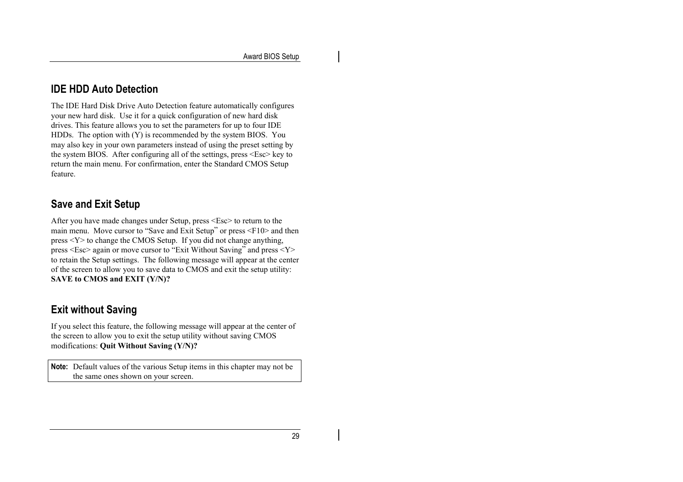## **IDE HDD Auto Detection**

The IDE Hard Disk Drive Auto Detection feature automatically configures your new hard disk. Use it for a quick configuration of new hard disk drives. This feature allows you to set the parameters for up to four IDE HDDs. The option with (Y) is recommended by the system BIOS. You may also key in your own parameters instead of using the preset setting by the system BIOS. After configuring all of the settings, press <Esc> key to return the main menu. For confirmation, enter the Standard CMOS Setup feature.

## **Save and Exit Setup**

After you have made changes under Setup, press <Esc> to return to the main menu. Move cursor to "Save and Exit Setup" or press <F10> and then press <Y> to change the CMOS Setup. If you did not change anything, press <Esc> again or move cursor to "Exit Without Saving" and press <Y> to retain the Setup settings. The following message will appear at the center of the screen to allow you to save data to CMOS and exit the setup utility: **SAVE to CMOS and EXIT (Y/N)?**

## **Exit without Saving**

If you select this feature, the following message will appear at the center of the screen to allow you to exit the setup utility without saving CMOS modifications: **Quit Without Saving (Y/N)?**

**Note:** Default values of the various Setup items in this chapter may not be the same ones shown on your screen.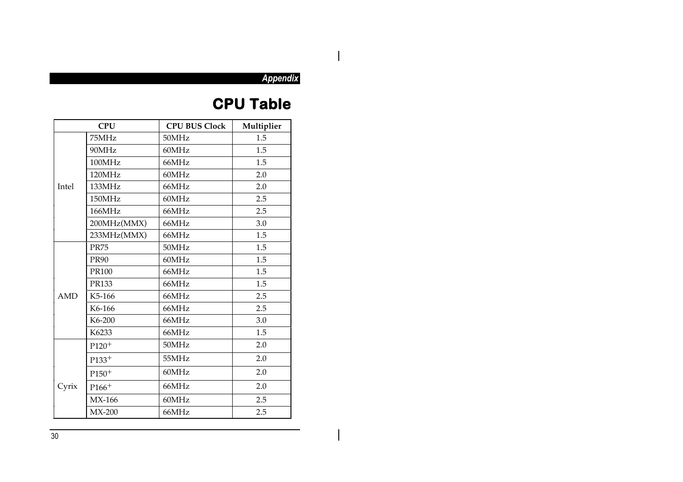## $\mathsf{I}$

 $\mathbf{I}$ 

*Appendix*

## **CPU Table**

| <b>CPU</b> |              | <b>CPU BUS Clock</b> | Multiplier |
|------------|--------------|----------------------|------------|
|            | 75MHz        | 50MHz                | 1.5        |
|            | 90MHz        | 60MHz                | 1.5        |
|            | 100MHz       | 66MHz                | 1.5        |
|            | 120MHz       | 60MHz                | 2.0        |
| Intel      | 133MHz       | 66MHz                | 2.0        |
|            | 150MHz       | 60MHz                | 2.5        |
|            | 166MHz       | 66MHz                | 2.5        |
|            | 200MHz(MMX)  | 66MHz                | 3.0        |
|            | 233MHz(MMX)  | 66MHz                | 1.5        |
|            | <b>PR75</b>  | 50MHz                | 1.5        |
|            | <b>PR90</b>  | 60MHz                | 1.5        |
|            | <b>PR100</b> | 66MHz                | 1.5        |
|            | PR133        | 66MHz                | 1.5        |
| <b>AMD</b> | K5-166       | 66MHz                | 2.5        |
|            | K6-166       | 66MHz                | 2.5        |
|            | K6-200       | 66MHz                | 3.0        |
|            | K6233        | 66MHz                | 1.5        |
|            | $P120+$      | 50MHz                | 2.0        |
|            | $P133^{+}$   | 55MHz                | 2.0        |
|            | $P150+$      | 60MHz                | 2.0        |
| Cyrix      | $P166+$      | 66MHz                | 2.0        |
|            | MX-166       | 60MHz                | 2.5        |
|            | $MX-200$     | 66MHz                | 2.5        |